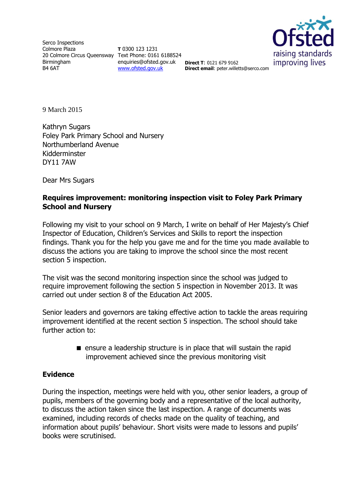Serco Inspections Colmore Plaza 20 Colmore Circus Queensway Text Phone: 0161 6188524 Birmingham B4 6AT

**T** 0300 123 1231 enquiries@ofsted.gov.uk **Direct T**: 0121 679 9162 [www.ofsted.gov.uk](http://www.ofsted.gov.uk/)



**Direct email**: peter.willetts@serco.com

9 March 2015

Kathryn Sugars Foley Park Primary School and Nursery Northumberland Avenue Kidderminster DY11 7AW

Dear Mrs Sugars

### **Requires improvement: monitoring inspection visit to Foley Park Primary School and Nursery**

Following my visit to your school on 9 March, I write on behalf of Her Majesty's Chief Inspector of Education, Children's Services and Skills to report the inspection findings. Thank you for the help you gave me and for the time you made available to discuss the actions you are taking to improve the school since the most recent section 5 inspection.

The visit was the second monitoring inspection since the school was judged to require improvement following the section 5 inspection in November 2013. It was carried out under section 8 of the Education Act 2005.

Senior leaders and governors are taking effective action to tackle the areas requiring improvement identified at the recent section 5 inspection. The school should take further action to:

> $\blacksquare$  ensure a leadership structure is in place that will sustain the rapid improvement achieved since the previous monitoring visit

#### **Evidence**

During the inspection, meetings were held with you, other senior leaders, a group of pupils, members of the governing body and a representative of the local authority, to discuss the action taken since the last inspection. A range of documents was examined, including records of checks made on the quality of teaching, and information about pupils' behaviour. Short visits were made to lessons and pupils' books were scrutinised.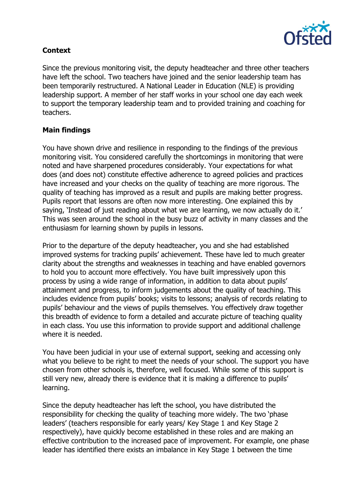

# **Context**

Since the previous monitoring visit, the deputy headteacher and three other teachers have left the school. Two teachers have joined and the senior leadership team has been temporarily restructured. A National Leader in Education (NLE) is providing leadership support. A member of her staff works in your school one day each week to support the temporary leadership team and to provided training and coaching for teachers.

## **Main findings**

You have shown drive and resilience in responding to the findings of the previous monitoring visit. You considered carefully the shortcomings in monitoring that were noted and have sharpened procedures considerably. Your expectations for what does (and does not) constitute effective adherence to agreed policies and practices have increased and your checks on the quality of teaching are more rigorous. The quality of teaching has improved as a result and pupils are making better progress. Pupils report that lessons are often now more interesting. One explained this by saying, 'Instead of just reading about what we are learning, we now actually do it.' This was seen around the school in the busy buzz of activity in many classes and the enthusiasm for learning shown by pupils in lessons.

Prior to the departure of the deputy headteacher, you and she had established improved systems for tracking pupils' achievement. These have led to much greater clarity about the strengths and weaknesses in teaching and have enabled governors to hold you to account more effectively. You have built impressively upon this process by using a wide range of information, in addition to data about pupils' attainment and progress, to inform judgements about the quality of teaching. This includes evidence from pupils' books; visits to lessons; analysis of records relating to pupils' behaviour and the views of pupils themselves. You effectively draw together this breadth of evidence to form a detailed and accurate picture of teaching quality in each class. You use this information to provide support and additional challenge where it is needed.

You have been judicial in your use of external support, seeking and accessing only what you believe to be right to meet the needs of your school. The support you have chosen from other schools is, therefore, well focused. While some of this support is still very new, already there is evidence that it is making a difference to pupils' learning.

Since the deputy headteacher has left the school, you have distributed the responsibility for checking the quality of teaching more widely. The two 'phase leaders' (teachers responsible for early years/ Key Stage 1 and Key Stage 2 respectively), have quickly become established in these roles and are making an effective contribution to the increased pace of improvement. For example, one phase leader has identified there exists an imbalance in Key Stage 1 between the time